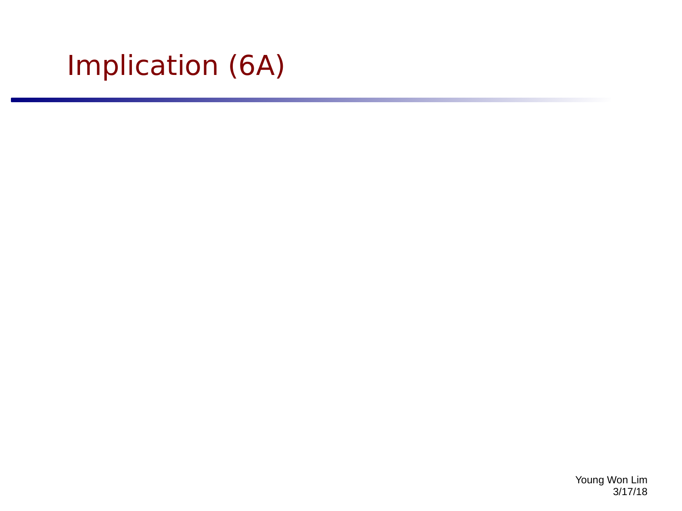# Implication (6A)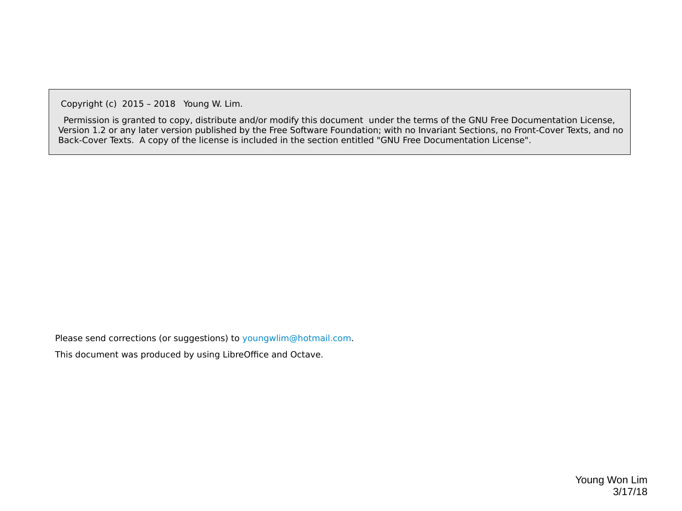Copyright (c) 2015 – 2018 Young W. Lim.

 Permission is granted to copy, distribute and/or modify this document under the terms of the GNU Free Documentation License, Version 1.2 or any later version published by the Free Software Foundation; with no Invariant Sections, no Front-Cover Texts, and no Back-Cover Texts. A copy of the license is included in the section entitled "GNU Free Documentation License".

Please send corrections (or suggestions) to [youngwlim@hotmail.com](mailto:youngwlim@hotmail.com).

This document was produced by using LibreOffice and Octave.

Young Won Lim 3/17/18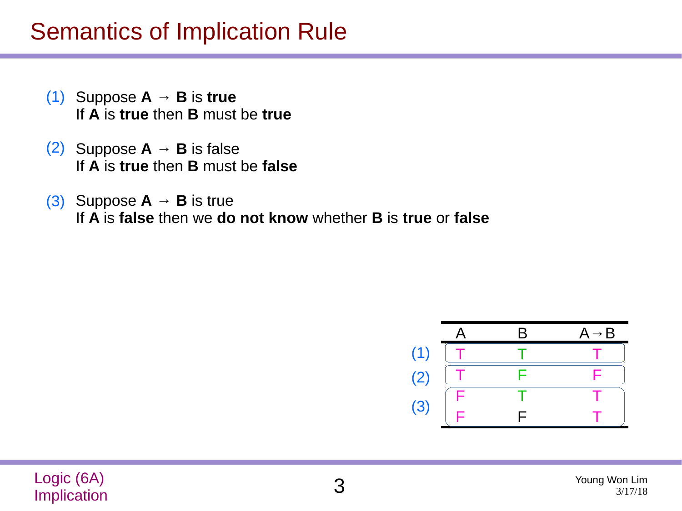### Semantics of Implication Rule

- $(1)$  Suppose  $A \rightarrow B$  is true If **A** is **true** then **B** must be **true**
- (2) Suppose  $A \rightarrow B$  is false If **A** is **true** then **B** must be **false**
- $(3)$  Suppose  $A \rightarrow B$  is true If **A** is **false** then we **do not know** whether **B** is **true** or **false**

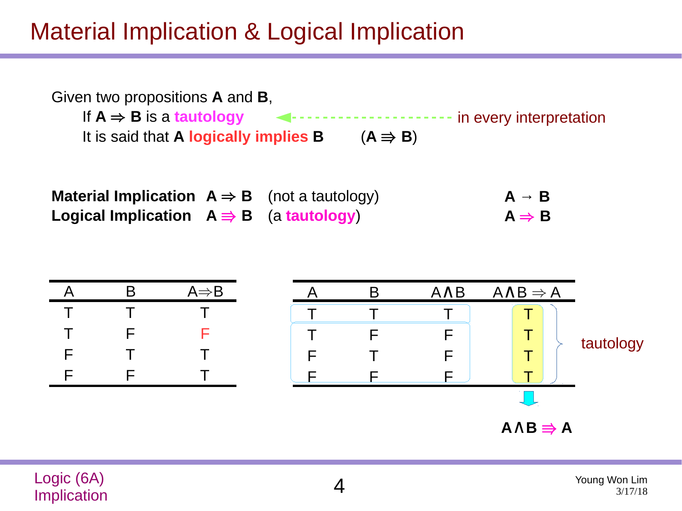### Material Implication & Logical Implication



**Material Implication**  $A \Rightarrow B$  (not a tautology) **Logical Implication**  $A \Rightarrow B$  (a **tautology**)  $A \rightarrow B$  $A \Rightarrow B$ 



Logic (6A) Logic (0A) 4<br>Implication 4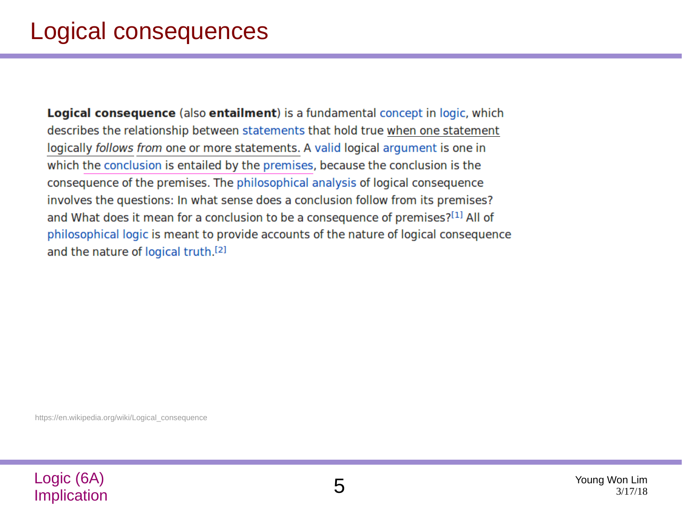**Logical consequence** (also **entailment**) is a fundamental concept in logic, which describes the relationship between statements that hold true when one statement logically follows from one or more statements. A valid logical argument is one in which the conclusion is entailed by the premises, because the conclusion is the consequence of the premises. The philosophical analysis of logical consequence involves the questions: In what sense does a conclusion follow from its premises? and What does it mean for a conclusion to be a consequence of premises?[1] All of philosophical logic is meant to provide accounts of the nature of logical consequence and the nature of logical truth.<sup>[2]</sup>

https://en.wikipedia.org/wiki/Logical\_consequence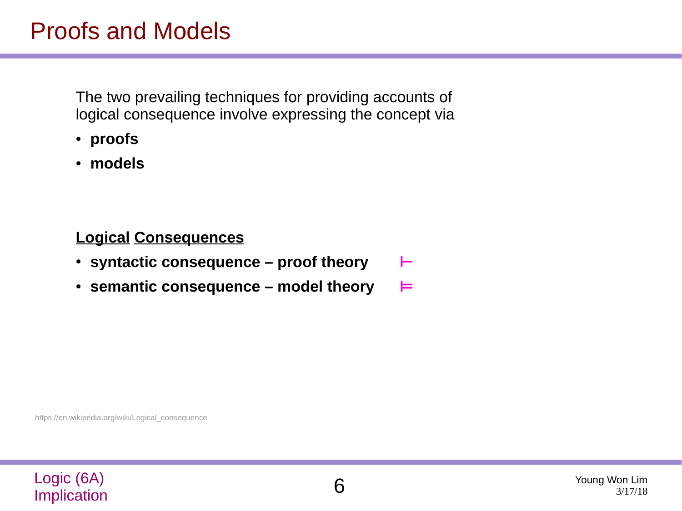The two prevailing techniques for providing accounts of logical consequence involve expressing the concept via

- **proofs**
- **models**

### **Logical Consequences**

- **syntactic consequence proof theory ⊢**
- **semantic consequence model theory ⊨**

https://en.wikipedia.org/wiki/Logical\_consequence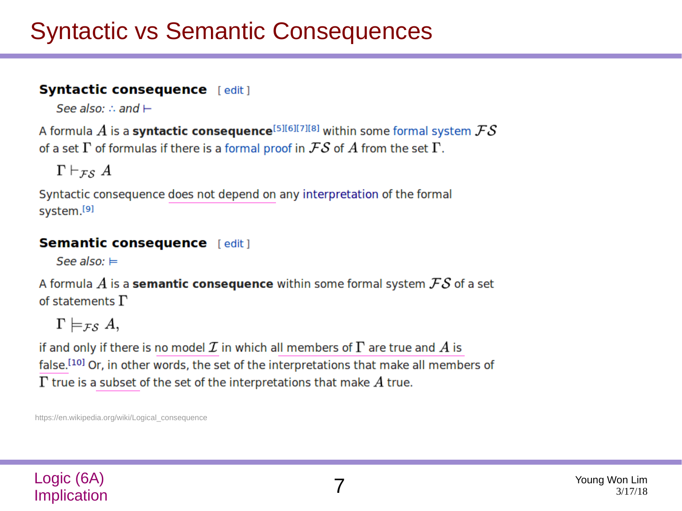### Syntactic vs Semantic Consequences

#### **Syntactic consequence** [edit]

See also: : and  $\vdash$ 

A formula  $A$  is a syntactic consequence<sup>[5][6][7][8]</sup> within some formal system  $\mathcal{FS}$ of a set  $\Gamma$  of formulas if there is a formal proof in  $\mathcal{FS}$  of  $A$  from the set  $\Gamma$ .

 $\Gamma \vdash_{\mathcal{FS}} A$ 

Syntactic consequence does not depend on any interpretation of the formal system.[9]

### **Semantic consequence** [edit]

See also:  $\models$ 

A formula  $A$  is a **semantic consequence** within some formal system  $FS$  of a set of statements  $\Gamma$ 

 $\Gamma \models_{\mathcal{FS}} A,$ 

if and only if there is no model  $\cal I$  in which all members of  $\Gamma$  are true and  $A$  is false.<sup>[10]</sup> Or, in other words, the set of the interpretations that make all members of  $\Gamma$  true is a subset of the set of the interpretations that make  $A$  true.

https://en.wikipedia.org/wiki/Logical\_consequence

### Logic (6A) **Implication**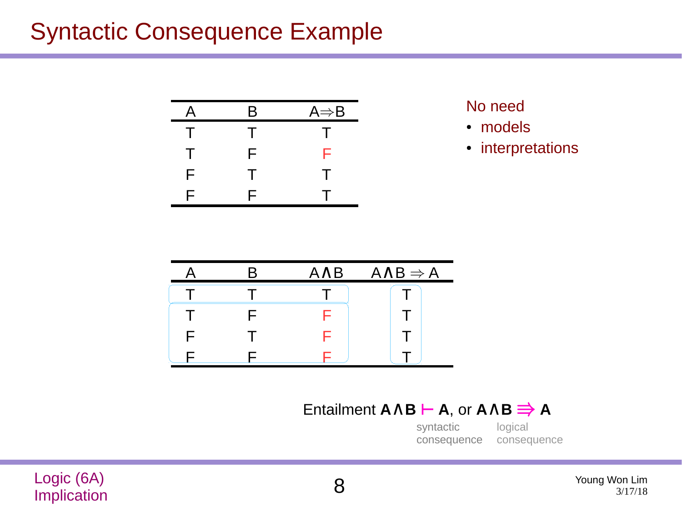### Syntactic Consequence Example

| A | Β      | $A \Rightarrow B$ |
|---|--------|-------------------|
| Τ | т      | л.                |
| Τ | F      | F                 |
| F | $\top$ | Τ                 |
| F | F      |                   |

No need

- models
- interpretations

|  | <b>AAB</b> | $A \wedge B \Rightarrow A$ |
|--|------------|----------------------------|
|  |            |                            |
|  |            |                            |
|  |            |                            |
|  |            |                            |

### Entailment **A**∧**B ⊢ A**, or **A**∧**B** ⇛ **A**

logical consequence syntactic consequence

Logic (6A) Logic (6A)<br>Implication 8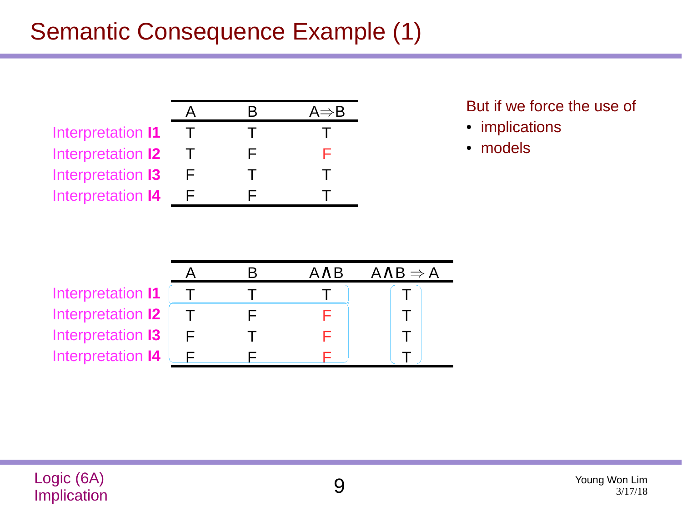### Semantic Consequence Example (1)

|                          | K | $A \Rightarrow B$ |
|--------------------------|---|-------------------|
| Interpretation I1        |   |                   |
| Interpretation <b>12</b> | ⊢ | ⊢                 |
| Interpretation 13        |   |                   |
| Interpretation 14        |   |                   |

But if we force the use of

- implications
- models

|                   |  | AAB | $A \wedge B \Rightarrow A$ |
|-------------------|--|-----|----------------------------|
| Interpretation I1 |  |     |                            |
| Interpretation 12 |  |     |                            |
| Interpretation 13 |  |     |                            |
| Interpretation 14 |  |     |                            |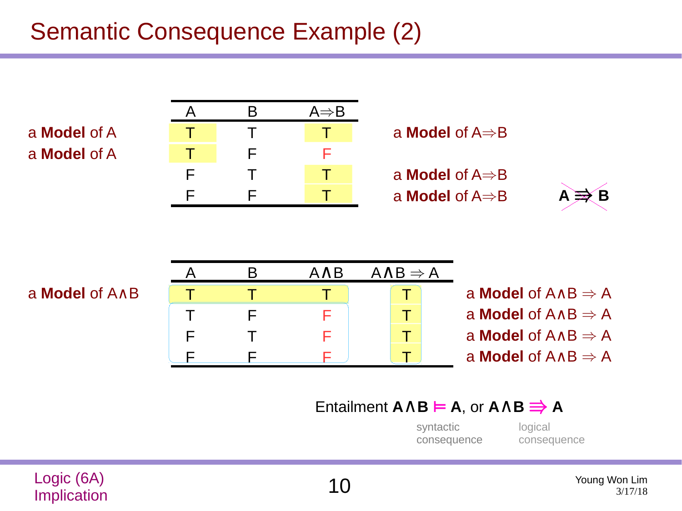### Semantic Consequence Example (2)

a **Model** of A a **Model** of A







|    |  | $A \wedge B$ | $A \wedge B \Rightarrow A$ |                                              |
|----|--|--------------|----------------------------|----------------------------------------------|
| ٨B |  |              |                            | a <b>Model</b> of $A \wedge B \Rightarrow A$ |
|    |  |              |                            | a <b>Model</b> of $A \wedge B \Rightarrow A$ |
|    |  |              |                            | a <b>Model</b> of $A \wedge B \Rightarrow A$ |
|    |  |              |                            | a <b>Model</b> of $A \wedge B \Rightarrow A$ |

### Entailment **A**∧**B ⊨ A**, or **A**∧**B** ⇛ **A**

syntactic consequence logical consequence

### 3/17/18

a Model of A

Logic (6A)  $\bigcup_{10}^{\infty}$  Iogic (6A) Young Won Lim<br>Implication  $\bigcup_{3/17/18}^{\infty}$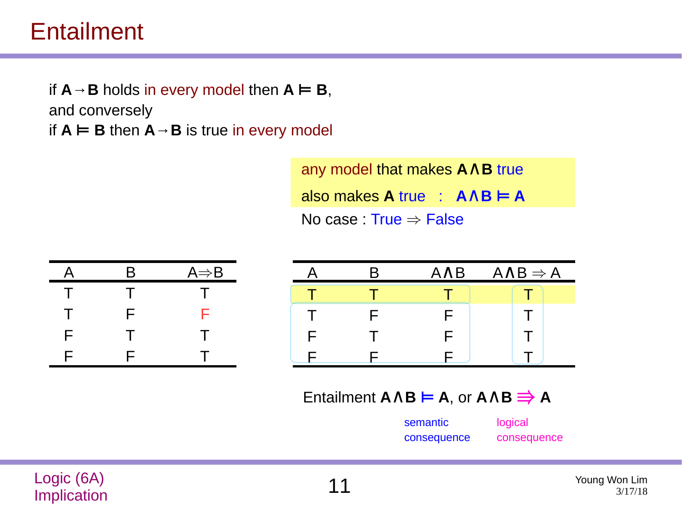### Entailment

if  $A \rightarrow B$  holds in every model then  $A \models B$ , and conversely if  $A \models B$  then  $A \rightarrow B$  is true in every model

> any model that makes **A**∧**B** true  $\blacksquare$  also makes **A** true :  $\blacksquare$   $\blacksquare$   $\blacksquare$   $\blacksquare$   $\blacksquare$ No case : True  $\Rightarrow$  False

| A      | B  | $A \Rightarrow B$ |
|--------|----|-------------------|
| Τ      | т  | $\mathbf{L}$      |
| $\top$ | F. | F                 |
| F      | т  | т                 |
| F      | F  |                   |

|   | <b>AAB</b> | $A \wedge B \Rightarrow A$ |
|---|------------|----------------------------|
|   |            |                            |
|   |            |                            |
| F | ┕          |                            |
|   |            |                            |

Entailment **A**∧**B ⊨ A**, or **A**∧**B** ⇛ **A**

semantic consequence

| logical     |  |
|-------------|--|
| consequence |  |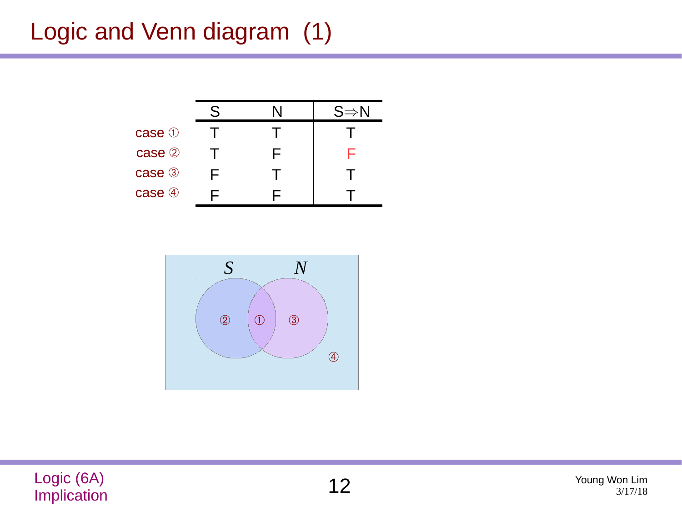## Logic and Venn diagram (1)





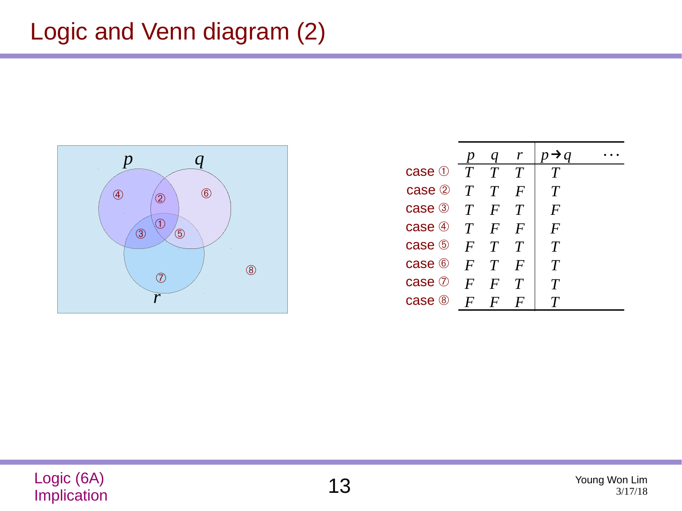### Logic and Venn diagram (2)



|                                |                  | q        | $\mathbf{r}$ | $\rightarrow$ a    |  |
|--------------------------------|------------------|----------|--------------|--------------------|--|
| case $\mathbb{0}$ $T$ $T$ $T$  |                  |          |              | T                  |  |
| case $\oslash$ T T             |                  |          | $\bm{F}$     | $\bm{\mathit{T}}$  |  |
| case $\mathcal{F}$ $T$ $F$ $T$ |                  |          |              | $\bm{F}$           |  |
| case $\circledast$ $T$         |                  | $\bm{F}$ | $\bm{F}$     | $\bm{F}$           |  |
| case $\circ$ $F$ $T$ $T$       |                  |          |              | T                  |  |
| case $\circ$ $F$ $T$           |                  |          | $\bm{F}$     | T                  |  |
| case $\oslash$ F               |                  | $\bm{F}$ | $\tau$       | $\bm{\mathcal{T}}$ |  |
| case @                         | $\boldsymbol{F}$ | $\bm{F}$ |              |                    |  |
|                                |                  |          |              |                    |  |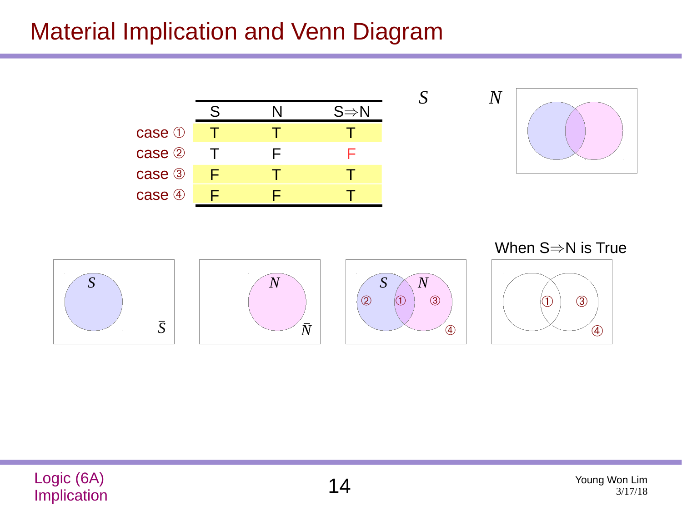### Material Implication and Venn Diagram



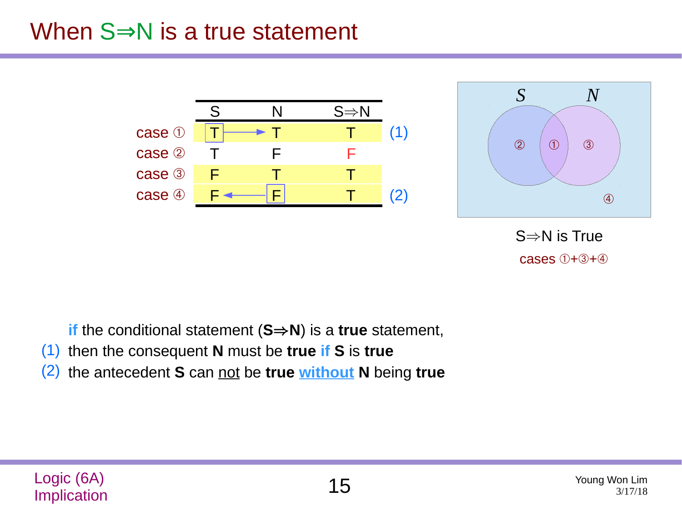### When  $S \Rightarrow N$  is a true statement



- **if** the conditional statement (**S**⇒**N**) is a **true** statement,
- then the consequent **N** must be **true if S** is **true** (1)
- the antecedent **S** can not be **true without N** being **true** (2)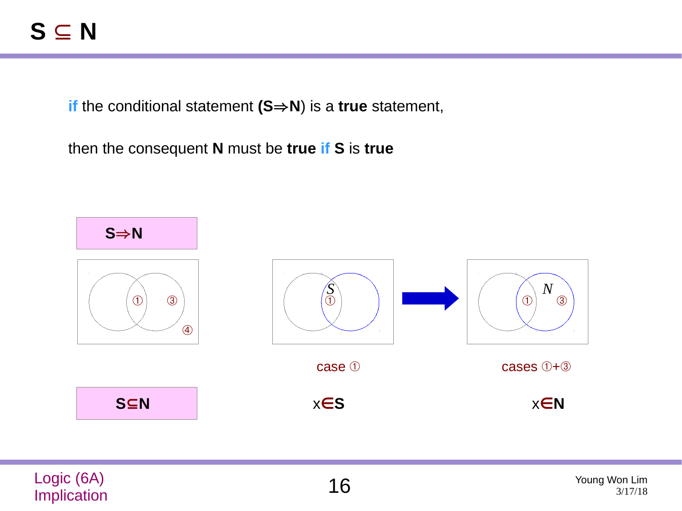**if** the conditional statement **(S**⇒**N**) is a **true** statement,

then the consequent **N** must be **true if S** is **true**



| Logic (6A)         | Young Won Lim |
|--------------------|---------------|
| <b>Implication</b> | 3/17/18       |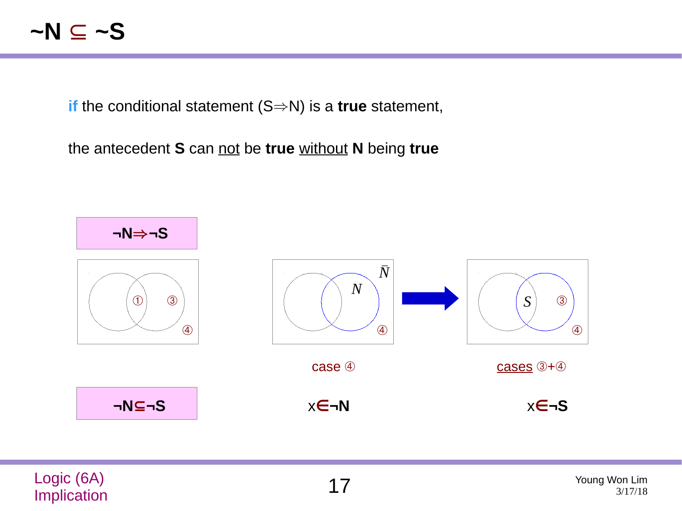### **~N** ⊆ **~S**

**if** the conditional statement (S⇒N) is a **true** statement,

the antecedent **S** can not be **true** without **N** being **true**



| Logic (6A)  | Young Won Lim |
|-------------|---------------|
| Implication | 3/17/18       |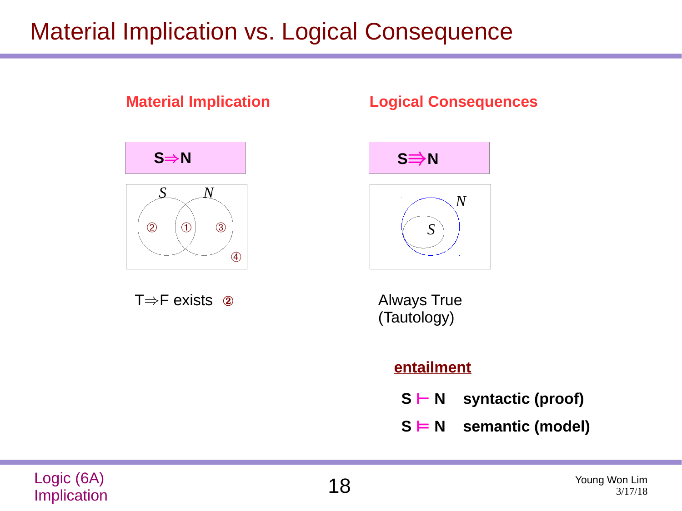### Material Implication vs. Logical Consequence



- **S ⊢ N syntactic (proof)**
- **S ⊨ N semantic (model)**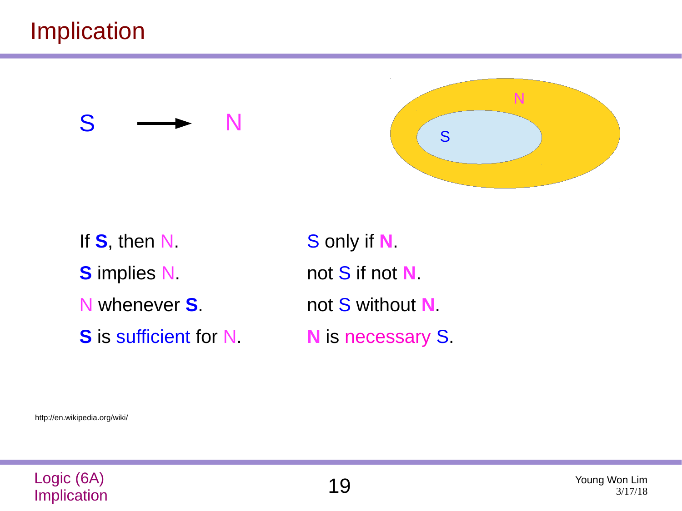### Implication





If **S**, then N. **S** implies N. N whenever **S**. **S** is sufficient for N.

S only if **N**. not S if not **N**. not S without **N**. **N** is necessary S.

http://en.wikipedia.org/wiki/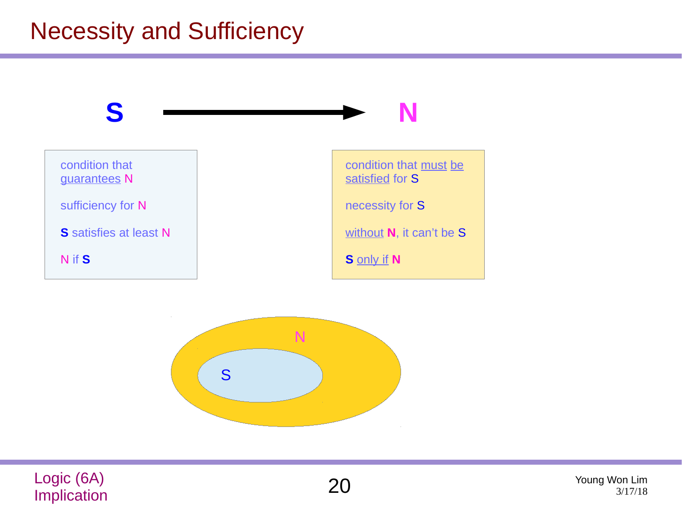## Necessity and Sufficiency







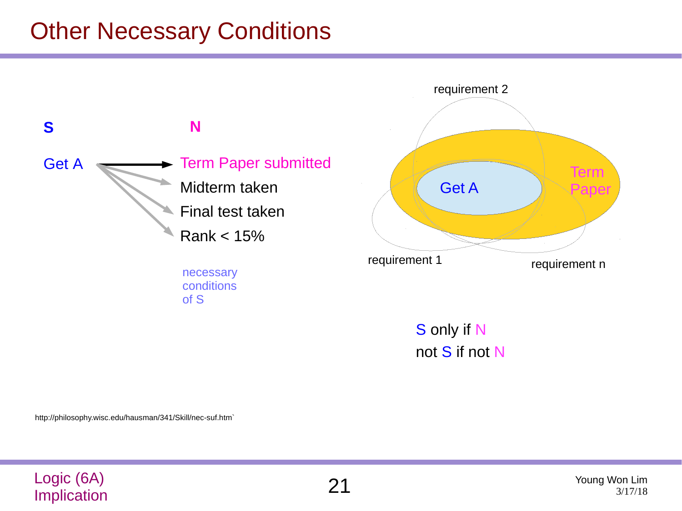### Other Necessary Conditions



not S if not N

http://philosophy.wisc.edu/hausman/341/Skill/nec-suf.htm`

| Logic (6A)  | Young Won Lim |
|-------------|---------------|
| Implication | 3/17/18       |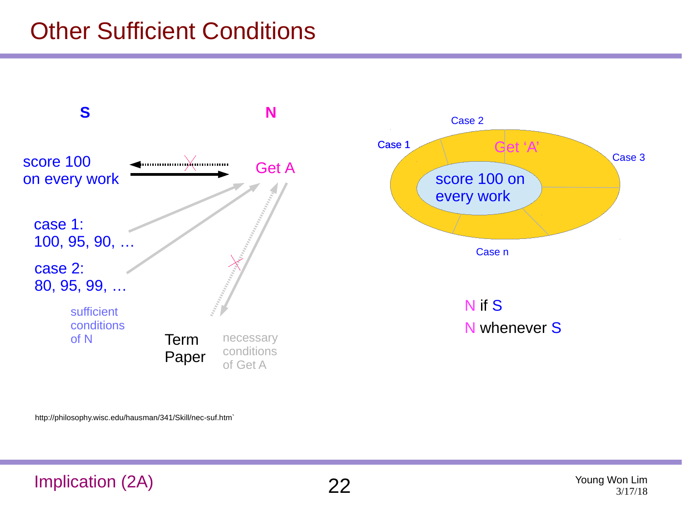### Other Sufficient Conditions



http://philosophy.wisc.edu/hausman/341/Skill/nec-suf.htm`

### Implication (2A) 22 Young Won Lim

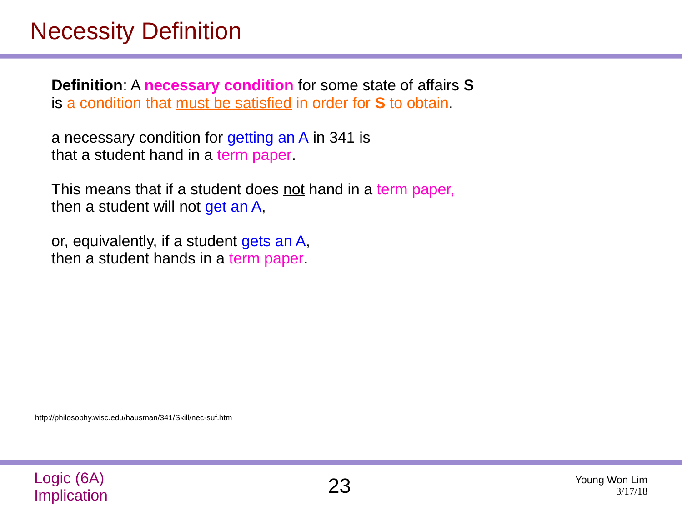### Necessity Definition

**Definition**: A **necessary condition** for some state of affairs **S** is a condition that must be satisfied in order for **S** to obtain.

a necessary condition for getting an A in 341 is that a student hand in a term paper.

This means that if a student does <u>not</u> hand in a term paper, then a student will not get an A,

or, equivalently, if a student gets an A, then a student hands in a term paper.

http://philosophy.wisc.edu/hausman/341/Skill/nec-suf.htm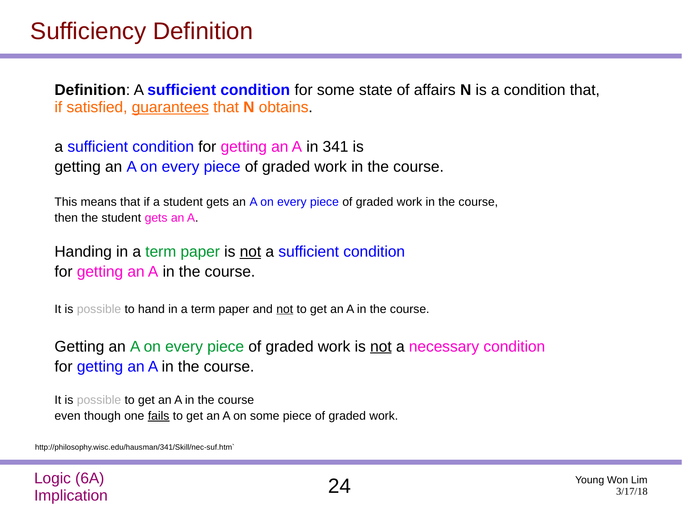### Sufficiency Definition

**Definition**: A **sufficient condition** for some state of affairs **N** is a condition that, if satisfied, guarantees that **N** obtains.

a sufficient condition for getting an A in 341 is getting an A on every piece of graded work in the course.

This means that if a student gets an A on every piece of graded work in the course, then the student gets an A.

Handing in a term paper is not a sufficient condition for getting an A in the course.

It is possible to hand in a term paper and not to get an A in the course.

Getting an A on every piece of graded work is not a necessary condition for getting an A in the course.

It is possible to get an A in the course even though one fails to get an A on some piece of graded work.

http://philosophy.wisc.edu/hausman/341/Skill/nec-suf.htm`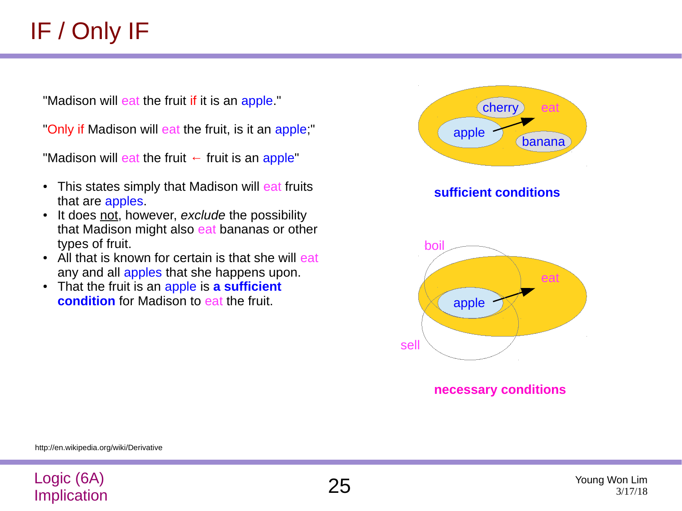"Madison will eat the fruit if it is an apple."

"Only if Madison will eat the fruit, is it an apple;"

"Madison will eat the fruit  $\leftarrow$  fruit is an apple"

- This states simply that Madison will eat fruits that are apples.
- It does not, however, *exclude* the possibility that Madison might also eat bananas or other types of fruit.
- All that is known for certain is that she will eat any and all apples that she happens upon.
- That the fruit is an apple is **a sufficient condition** for Madison to eat the fruit.



**necessary conditions**

http://en.wikipedia.org/wiki/Derivative

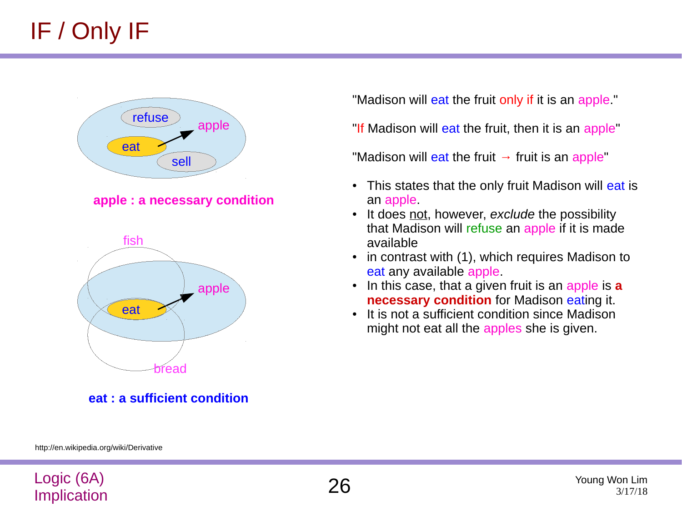

**apple : a necessary condition** 



**eat : a sufficient condition**

"Madison will eat the fruit only if it is an apple."

"If Madison will eat the fruit, then it is an apple"

"Madison will eat the fruit  $\rightarrow$  fruit is an apple"

- This states that the only fruit Madison will eat is an apple.
- It does not, however, *exclude* the possibility that Madison will refuse an apple if it is made available
- in contrast with (1), which requires Madison to eat any available apple.
- In this case, that a given fruit is an apple is **a necessary condition** for Madison eating it.
- It is not a sufficient condition since Madison might not eat all the apples she is given.

http://en.wikipedia.org/wiki/Derivative

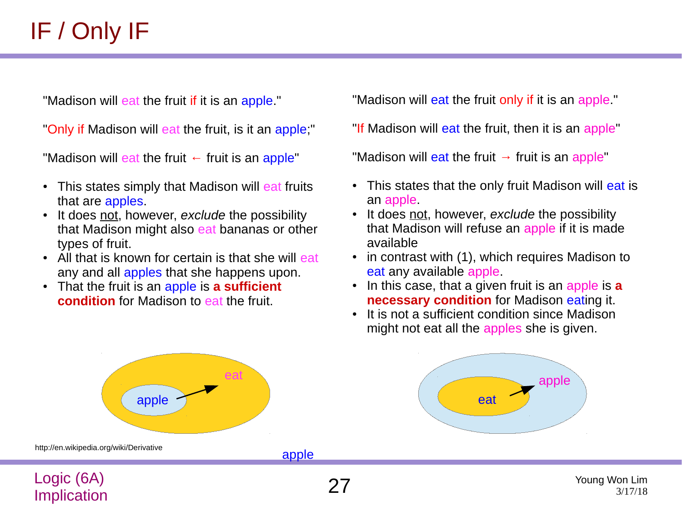"Madison will eat the fruit if it is an apple."

"Only if Madison will eat the fruit, is it an apple;"

"Madison will eat the fruit  $\leftarrow$  fruit is an apple"

- This states simply that Madison will eat fruits that are apples.
- It does not, however, *exclude* the possibility that Madison might also eat bananas or other types of fruit.
- All that is known for certain is that she will eat any and all apples that she happens upon.
- That the fruit is an apple is **a sufficient condition** for Madison to eat the fruit.

"Madison will eat the fruit only if it is an apple."

"If Madison will eat the fruit, then it is an apple"

"Madison will eat the fruit  $\rightarrow$  fruit is an apple"

- This states that the only fruit Madison will eat is an apple.
- It does not, however, *exclude* the possibility that Madison will refuse an apple if it is made available
- $\cdot$  in contrast with (1), which requires Madison to eat any available apple.
- In this case, that a given fruit is an apple is **a necessary condition** for Madison eating it.
- It is not a sufficient condition since Madison might not eat all the apples she is given.

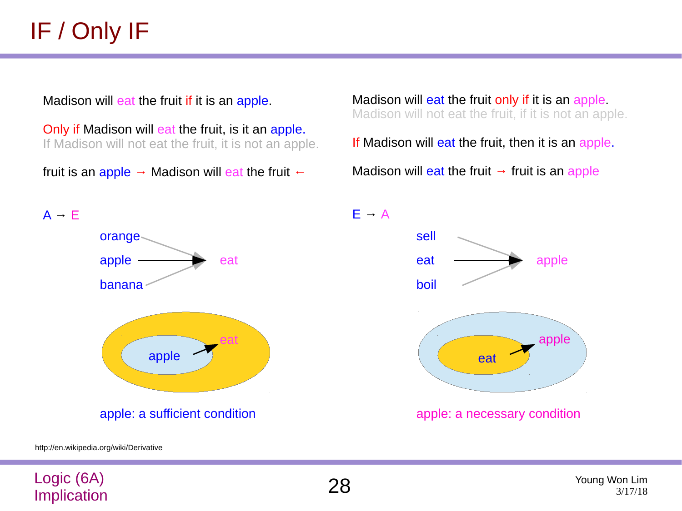Madison will eat the fruit if it is an apple.

Only if Madison will eat the fruit, is it an apple. If Madison will not eat the fruit, it is not an apple.

fruit is an apple  $\rightarrow$  Madison will eat the fruit  $\leftarrow$ 

Madison will eat the fruit only if it is an apple. Madison will not eat the fruit, if it is not an apple.

If Madison will eat the fruit, then it is an apple.

Madison will eat the fruit  $\rightarrow$  fruit is an apple



E **→** A



http://en.wikipedia.org/wiki/Derivative

Logic (6A)

## LOGIC (6A) <br>Implication 28 Young Won Lim

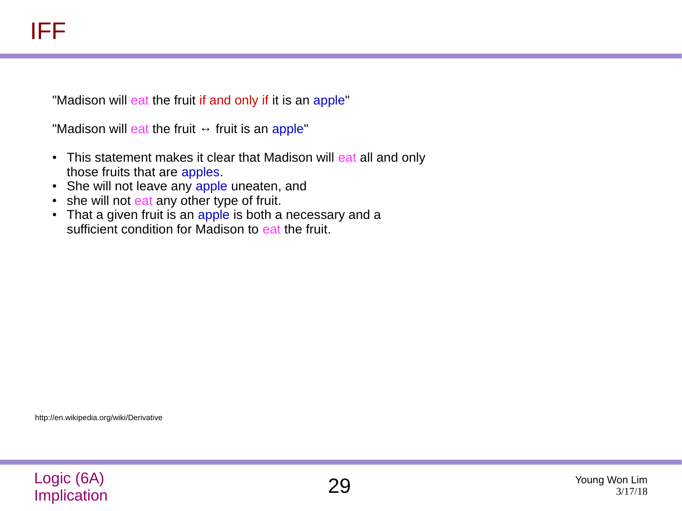"Madison will eat the fruit if and only if it is an apple"

"Madison will eat the fruit  $\leftrightarrow$  fruit is an apple"

- This statement makes it clear that Madison will eat all and only those fruits that are apples.
- She will not leave any apple uneaten, and
- she will not eat any other type of fruit.
- That a given fruit is an apple is both a necessary and a sufficient condition for Madison to eat the fruit.

http://en.wikipedia.org/wiki/Derivative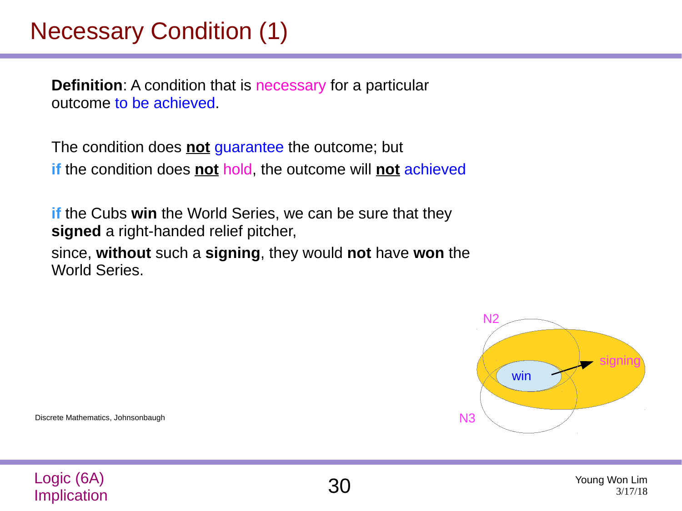### Necessary Condition (1)

**Definition**: A condition that is necessary for a particular outcome to be achieved.

The condition does **not** guarantee the outcome; but **if** the condition does **not** hold, the outcome will **not** achieved

**if** the Cubs **win** the World Series, we can be sure that they **signed** a right-handed relief pitcher,

since, **without** such a **signing**, they would **not** have **won** the World Series.



Discrete Mathematics, Johnsonbaugh

Logic (6A)

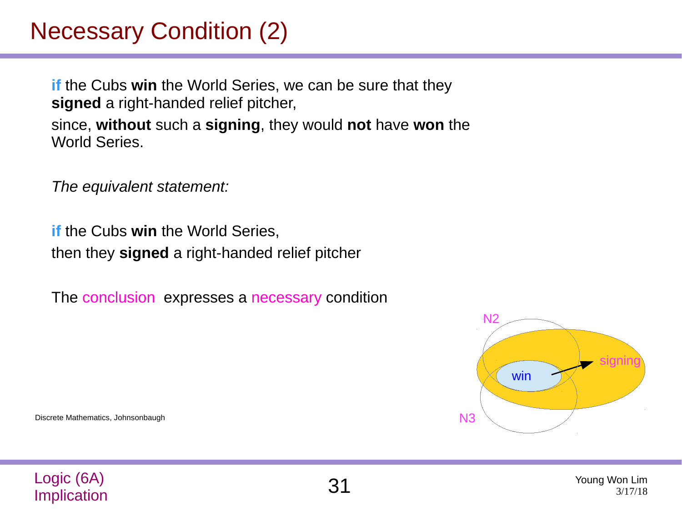## Necessary Condition (2)

**if** the Cubs **win** the World Series, we can be sure that they **signed** a right-handed relief pitcher, since, **without** such a **signing**, they would **not** have **won** the World Series.

*The equivalent statement:*

*if* the Cubs win the World Series. then they **signed** a right-handed relief pitcher

The conclusion expresses a necessary condition



Discrete Mathematics, Johnsonbaugh

Logic (6A)

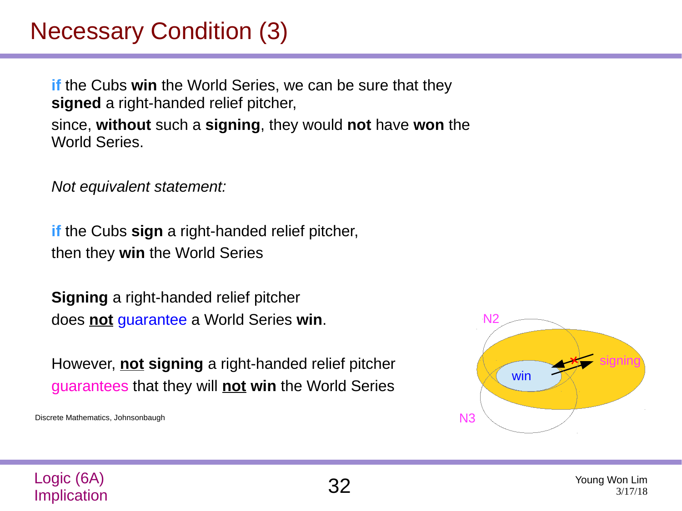## Necessary Condition (3)

**if** the Cubs **win** the World Series, we can be sure that they **signed** a right-handed relief pitcher, since, **without** such a **signing**, they would **not** have **won** the World Series.

*Not equivalent statement:*

**if** the Cubs **sign** a right-handed relief pitcher, then they **win** the World Series

**Signing** a right-handed relief pitcher does **not** guarantee a World Series **win**.

However, **not signing** a right-handed relief pitcher guarantees that they will **not** win the World Series

Discrete Mathematics, Johnsonbaugh





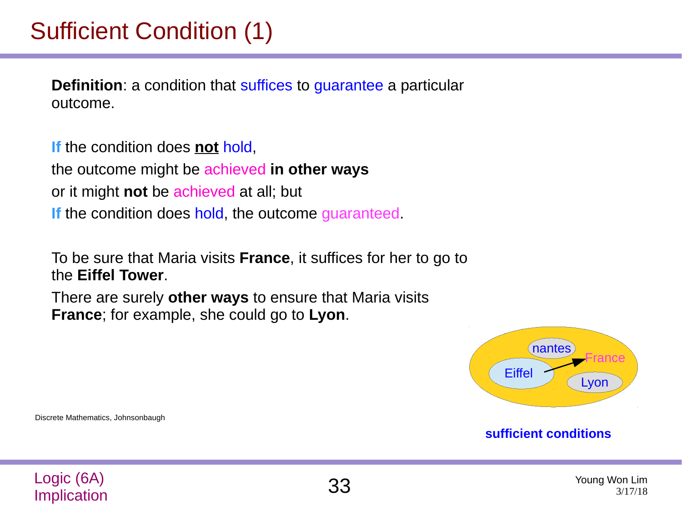## Sufficient Condition (1)

**Definition**: a condition that suffices to guarantee a particular outcome.

**If** the condition does **not** hold, the outcome might be achieved **in other ways** or it might **not** be achieved at all; but **If** the condition does hold, the outcome guaranteed.

To be sure that Maria visits **France**, it suffices for her to go to the **Eiffel Tower**.

There are surely **other ways** to ensure that Maria visits **France**; for example, she could go to **Lyon**.



#### **sufficient conditions**

Discrete Mathematics, Johnsonbaugh

Logic (6A)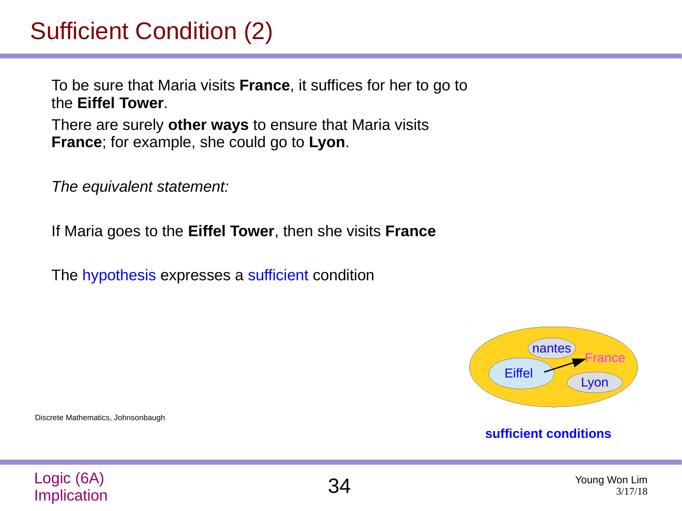## Sufficient Condition (2)

To be sure that Maria visits **France**, it suffices for her to go to the **Eiffel Tower**.

There are surely **other ways** to ensure that Maria visits **France**; for example, she could go to **Lyon**.

*The equivalent statement:*

If Maria goes to the **Eiffel Tower**, then she visits **France**

The hypothesis expresses a sufficient condition



#### **sufficient conditions**

Logic (6A) LOGIC (6A) <br>
Implication 3/17/18

Discrete Mathematics, Johnsonbaugh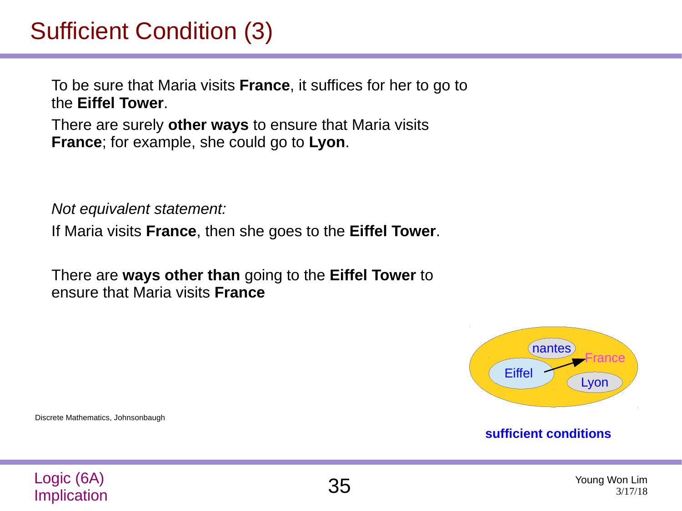## Sufficient Condition (3)

To be sure that Maria visits **France**, it suffices for her to go to the **Eiffel Tower**.

There are surely **other ways** to ensure that Maria visits **France**; for example, she could go to **Lyon**.

*Not equivalent statement:*

If Maria visits **France**, then she goes to the **Eiffel Tower**.

There are **ways other than** going to the **Eiffel Tower** to ensure that Maria visits **France**



#### **sufficient conditions**

Discrete Mathematics, Johnsonbaugh

Logic (6A)

LOGIC (6A) <br>Implication 3/17/18 3/17/18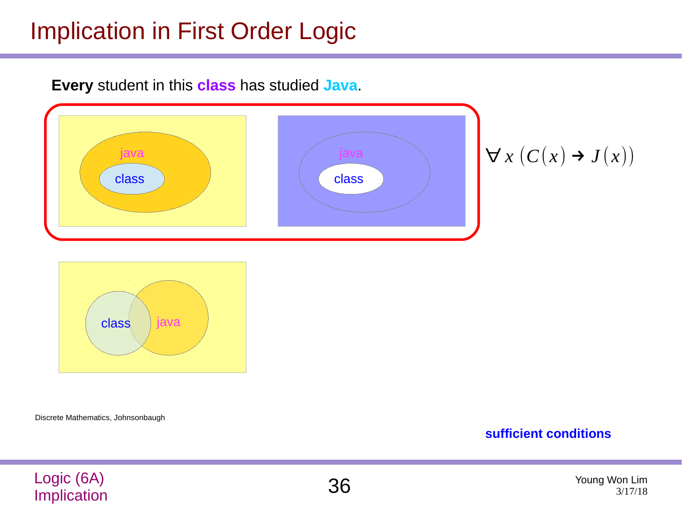### Implication in First Order Logic



**Every** student in this **class** has studied **Java**.

class java

Discrete Mathematics, Johnsonbaugh

**sufficient conditions**

### Logic (6A) LOGIC (6A) <br>Implication 3/17/18

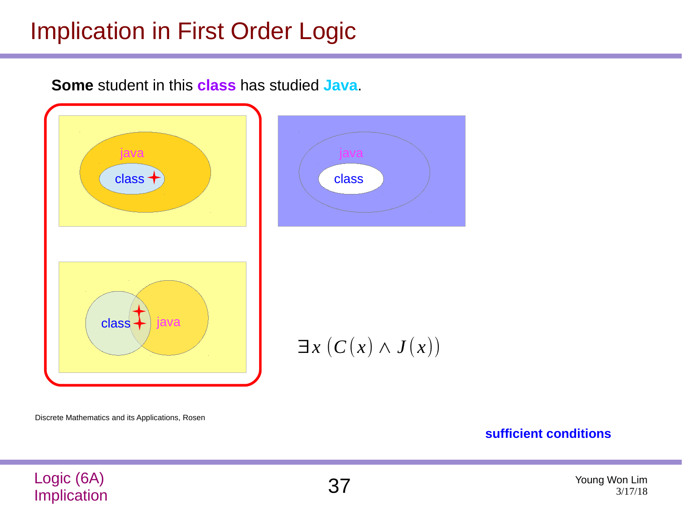### Implication in First Order Logic

**Some** student in this **class** has studied **Java**.



Discrete Mathematics and its Applications, Rosen

**sufficient conditions**

Logic (6A) Implication 37 Young Won Lim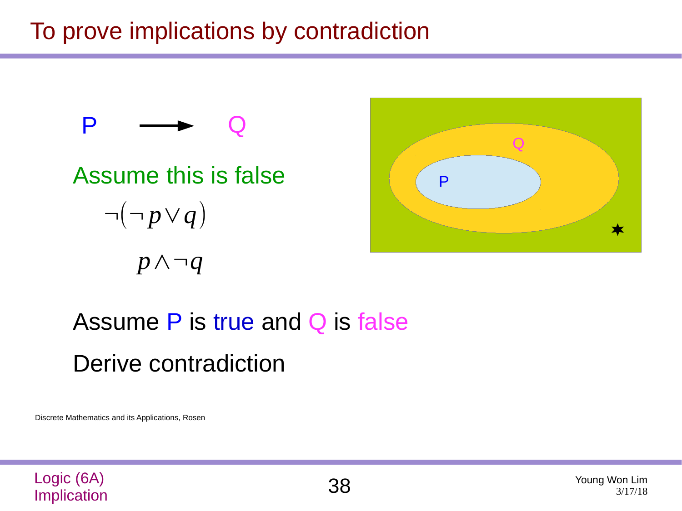To prove implications by contradiction



# Assume P is true and Q is false Derive contradiction

Discrete Mathematics and its Applications, Rosen



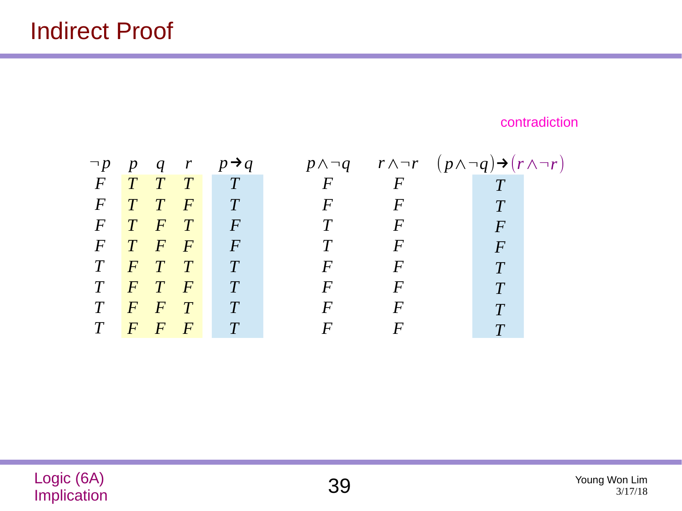contradiction

$$
\begin{array}{ccccccccc}\n-p & p & q & r & p\rightarrow q & p \land \neg q & r \land \neg r & (p \land \neg q)\rightarrow (r \land \neg r) \\
F & T & T & T & T & F & F & T \\
F & T & F & T & F & T & F & F & F \\
F & T & F & F & F & T & F & F & F \\
T & F & T & T & T & F & F & F & T \\
T & F & T & F & T & F & F & F & T \\
T & F & F & T & T & F & F & F & T \\
T & F & F & T & T & F & F & F & T \\
T & F & F & F & T & F & F & F & T\n\end{array}
$$

Logic (6A) <br> **Complication** 3/17/18